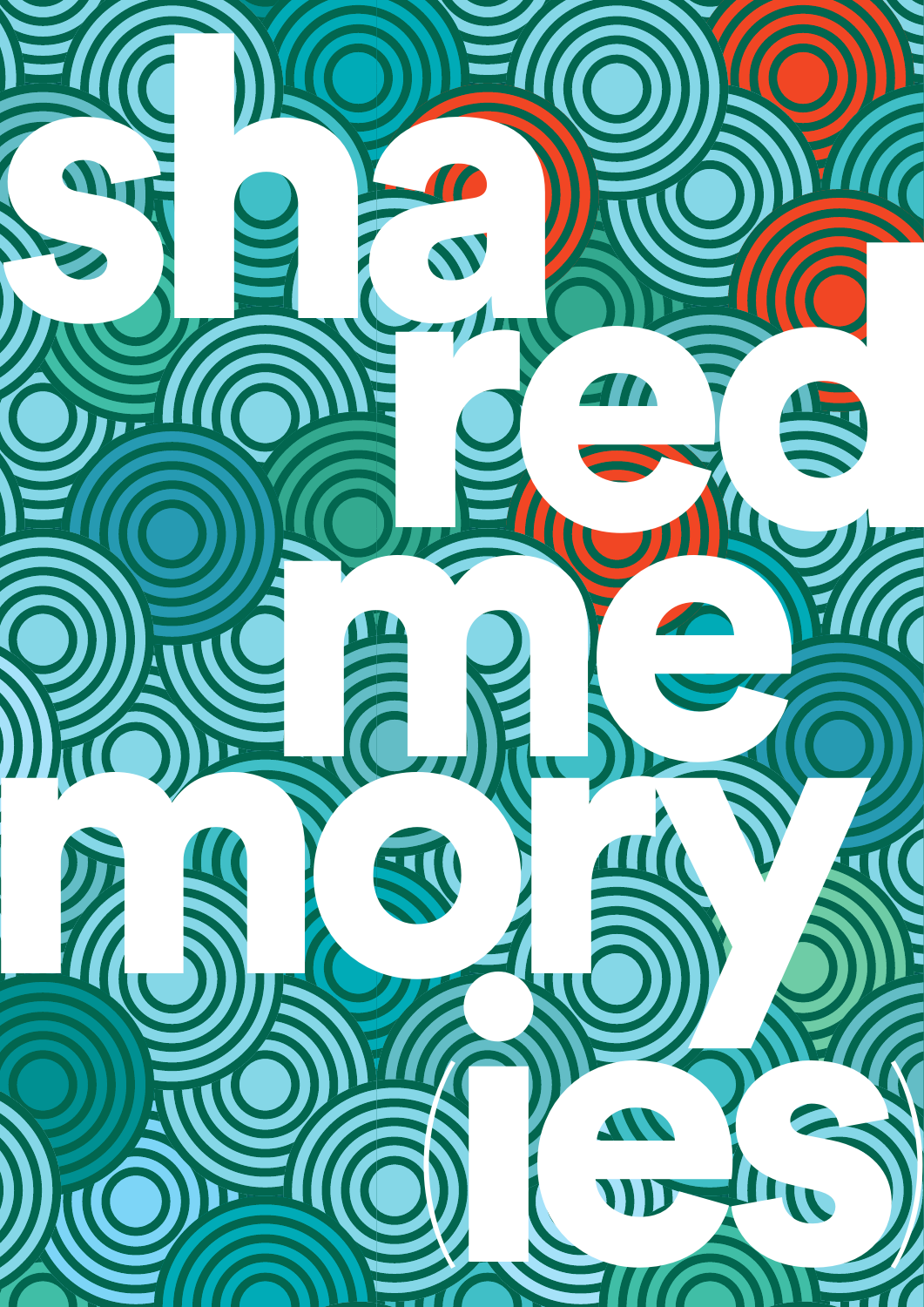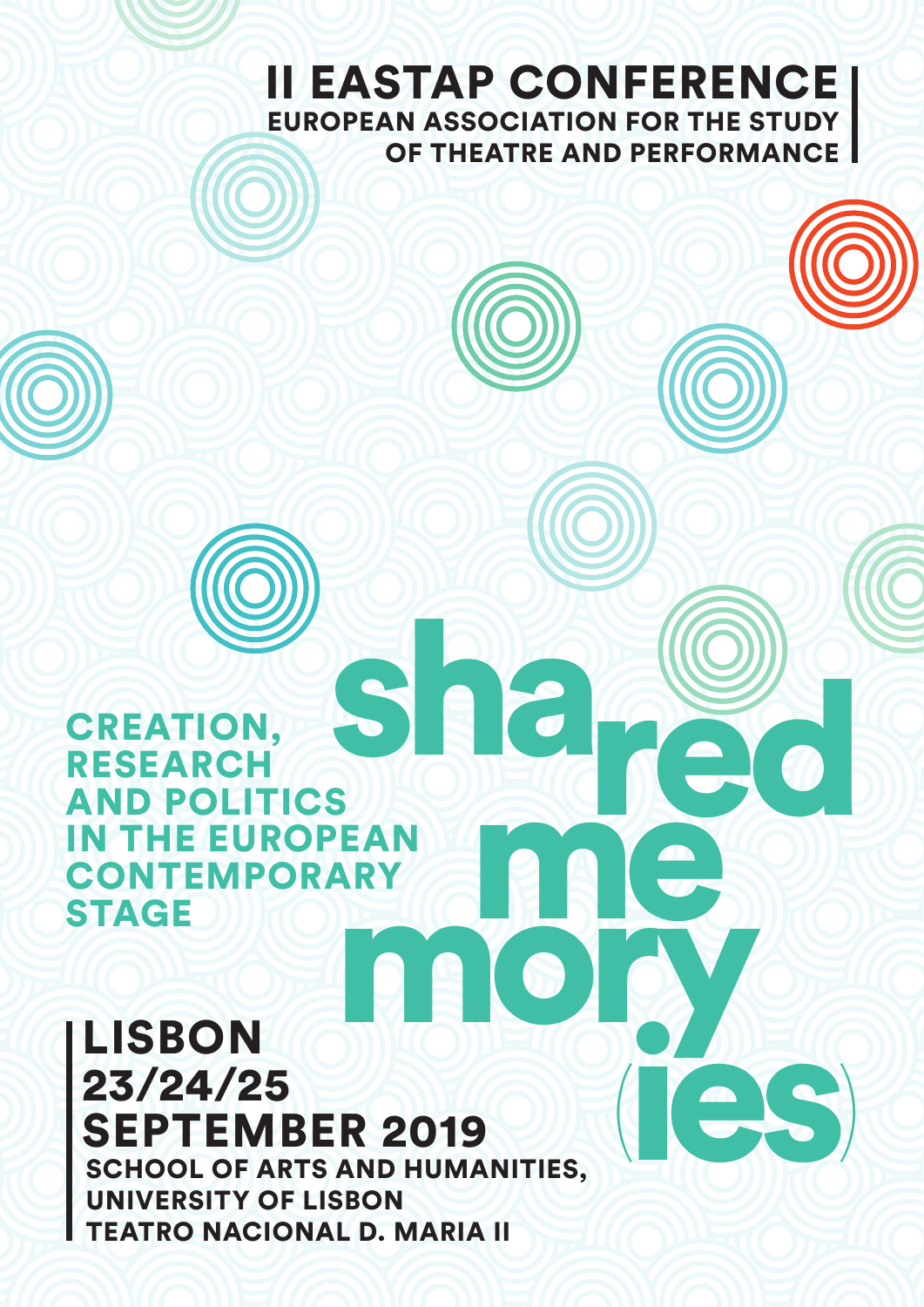# II EASTAP CONFERENCE EUROPEAN ASSOCIATION FOR THE STUDY OF THEATRE AND PERFORMANCE

me de

(ies)

shared CREATION, RESEARCH AND POLITICS IN THE EUROPEAN **CONTEMPORARY STAGE** 

# LISBON 23/24/25 SEPTEMBER 2019 SCHOOL OF ARTS AND HUMANITIES, UNIVERSITY OF LISBON mory

TEATRO NACIONAL D. MARIA II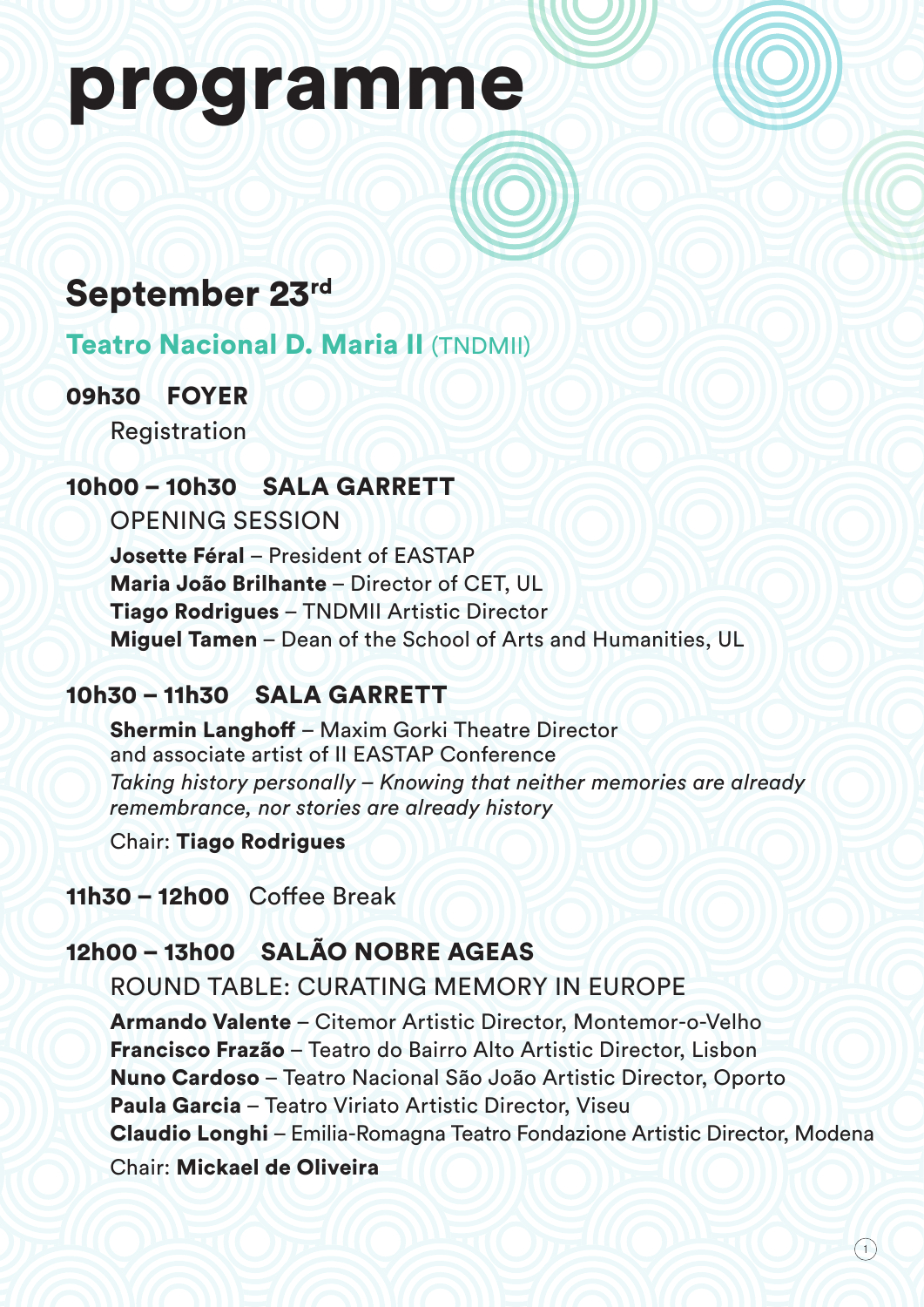# programme

# September 23rd

# Teatro Nacional D. Maria II (TNDMII)

# 09h30 FOYER

Registration

# 10h00 – 10h30 SALA GARRETT

OPENING SESSION

Josette Féral – President of EASTAP Maria João Brilhante – Director of CET, UL Tiago Rodrigues – TNDMII Artistic Director Miguel Tamen – Dean of the School of Arts and Humanities, UL

# 10h30 – 11h30 SALA GARRETT

Shermin Langhoff – Maxim Gorki Theatre Director and associate artist of II EASTAP Conference *Taking history personally – Knowing that neither memories are already remembrance, nor stories are already history*

Chair: Tiago Rodrigues

11h30 – 12h00 Coffee Break

# 12h00 – 13h00 SALÃO NOBRE AGEAS

ROUND TABLE: CURATING MEMORY IN EUROPE

Armando Valente – Citemor Artistic Director, Montemor-o-Velho Francisco Frazão – Teatro do Bairro Alto Artistic Director, Lisbon Nuno Cardoso – Teatro Nacional São João Artistic Director, Oporto Paula Garcia – Teatro Viriato Artistic Director, Viseu Claudio Longhi – Emilia-Romagna Teatro Fondazione Artistic Director, Modena Chair: Mickael de Oliveira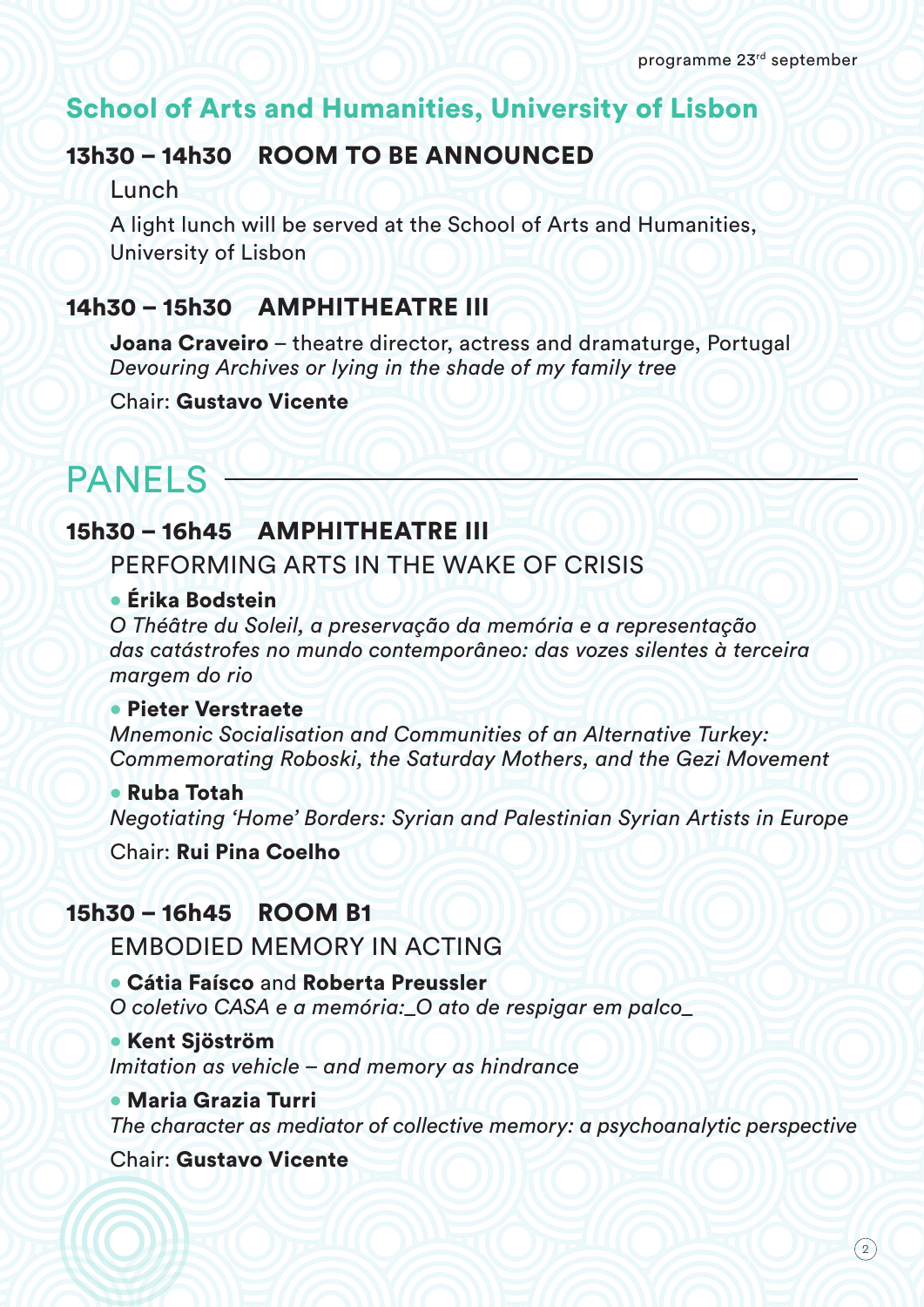# School of Arts and Humanities, University of Lisbon

# 13h30 – 14h30 ROOM TO BE ANNOUNCED

**Lunch** 

A light lunch will be served at the School of Arts and Humanities, University of Lisbon

# 14h30 – 15h30 AMPHITHEATRE III

Joana Craveiro – theatre director, actress and dramaturge, Portugal *Devouring Archives or lying in the shade of my family tree*

Chair: Gustavo Vicente

# PANELS -

# 15h30 – 16h45 AMPHITHEATRE III

PERFORMING ARTS IN THE WAKE OF CRISIS

#### • Érika Bodstein

*O Théâtre du Soleil, a preservação da memória e a representação das catástrofes no mundo contemporâneo: das vozes silentes à terceira margem do rio*

#### • Pieter Verstraete

*Mnemonic Socialisation and Communities of an Alternative Turkey: Commemorating Roboski, the Saturday Mothers, and the Gezi Movement*

#### • Ruba Totah

*Negotiating 'Home' Borders: Syrian and Palestinian Syrian Artists in Europe*

Chair: Rui Pina Coelho

# 15h30 – 16h45ROOM B1

EMBODIED MEMORY IN ACTING

• Cátia Faísco and Roberta Preussler *O coletivo CASA e a memória:\_O ato de respigar em palco\_*

• Kent Sjöström *Imitation as vehicle – and memory as hindrance*

• Maria Grazia Turri *The character as mediator of collective memory: a psychoanalytic perspective*

Chair: Gustavo Vicente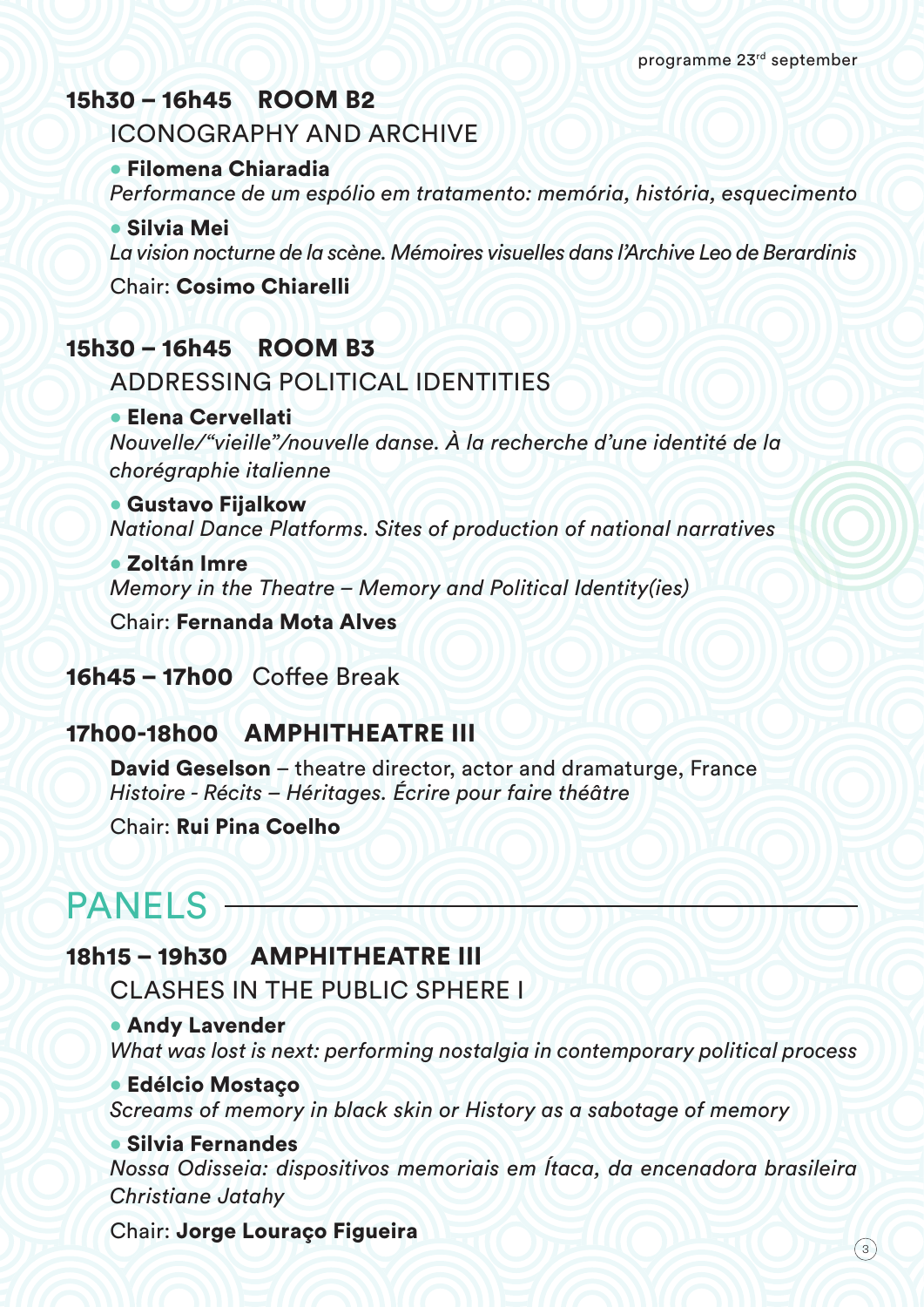# 15h30 – 16h45 ROOM B2

ICONOGRAPHY AND ARCHIVE

• Filomena Chiaradia

*Performance de um espólio em tratamento: memória, história, esquecimento*

• Silvia Mei

*La vision nocturne de la scène. Mémoires visuelles dans l'Archive Leo de Berardinis*

Chair: Cosimo Chiarelli

# 15h30 – 16h45 ROOM B3

ADDRESSING POLITICAL IDENTITIES

• Elena Cervellati *Nouvelle/"vieille"/nouvelle danse. À la recherche d'une identité de la chorégraphie italienne*

• Gustavo Fijalkow *National Dance Platforms. Sites of production of national narratives*

• Zoltán Imre *Memory in the Theatre – Memory and Political Identity(ies)*

Chair: Fernanda Mota Alves

### 16h45 – 17h00 Coffee Break

# 17h00-18h00AMPHITHEATRE III

David Geselson – theatre director, actor and dramaturge, France *Histoire - Récits – Héritages. Écrire pour faire théâtre*

Chair: Rui Pina Coelho

# PANELS —

### 18h15 – 19h30 AMPHITHEATRE III

CLASHES IN THE PUBLIC SPHERE I

#### • Andy Lavender

*What was lost is next: performing nostalgia in contemporary political process*

#### • Edélcio Mostaço

*Screams of memory in black skin or History as a sabotage of memory*

#### • Silvia Fernandes

*Nossa Odisseia: dispositivos memoriais em Ítaca, da encenadora brasileira Christiane Jatahy*

Chair: Jorge Louraço Figueira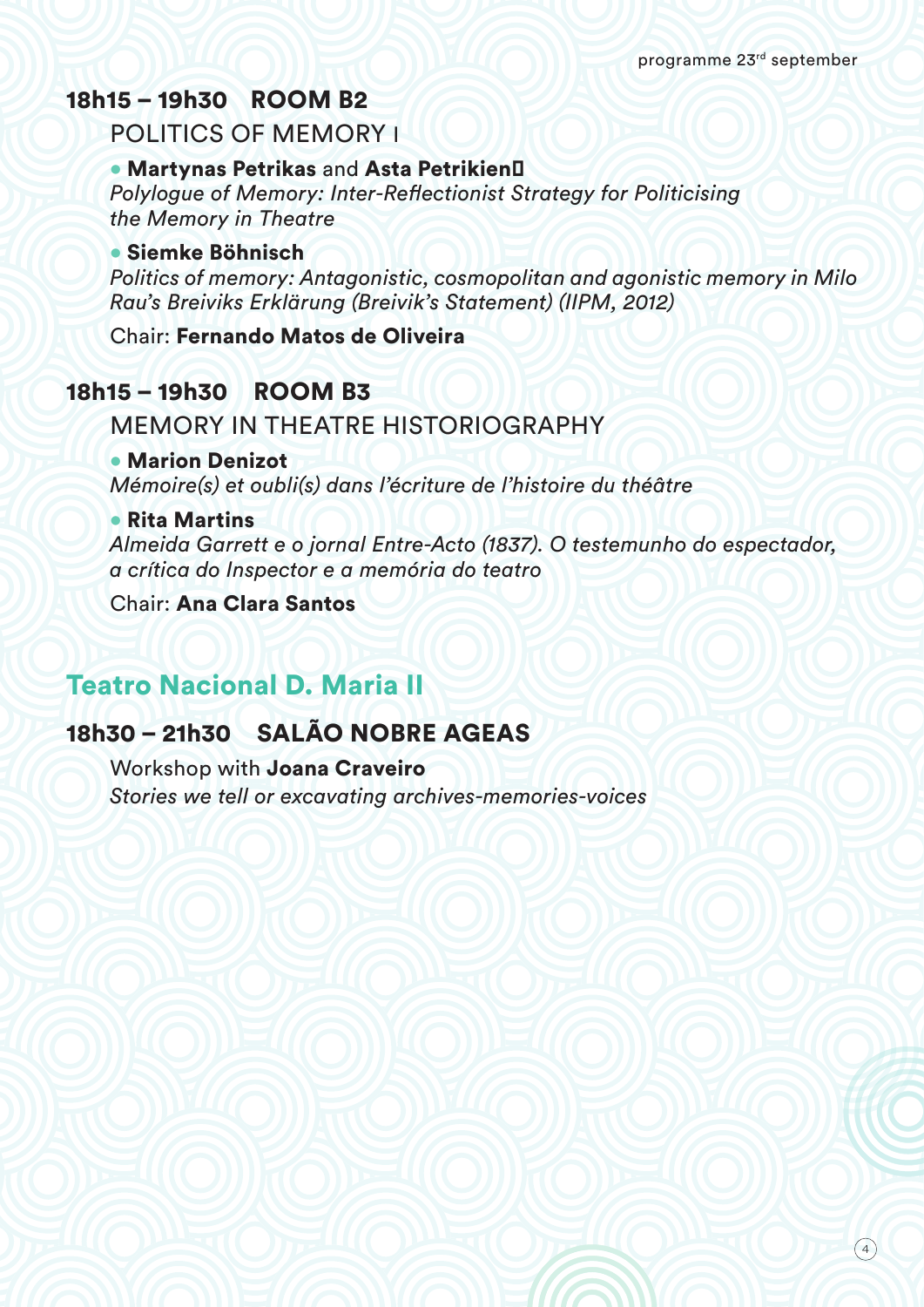# 18h15 – 19h30 ROOM B2

POLITICS OF MEMORY I

#### • Martynas Petrikas and Asta Petrikien

*Polylogue of Memory: Inter-Reflectionist Strategy for Politicising the Memory in Theatre*

#### • Siemke Böhnisch

*Politics of memory: Antagonistic, cosmopolitan and agonistic memory in Milo Rau's Breiviks Erklärung (Breivik's Statement) (IIPM, 2012)*

Chair: Fernando Matos de Oliveira

# 18h15 – 19h30ROOM B3

#### MEMORY IN THEATRE HISTORIOGRAPHY

#### • Marion Denizot

*Mémoire(s) et oubli(s) dans l'écriture de l'histoire du théâtre*

#### • Rita Martins

*Almeida Garrett e o jornal Entre-Acto (1837). O testemunho do espectador, a crítica do Inspector e a memória do teatro*

Chair: Ana Clara Santos

# Teatro Nacional D. Maria II

# 18h30 – 21h30SALÃO NOBRE AGEAS

Workshop with Joana Craveiro *Stories we tell or excavating archives-memories-voices*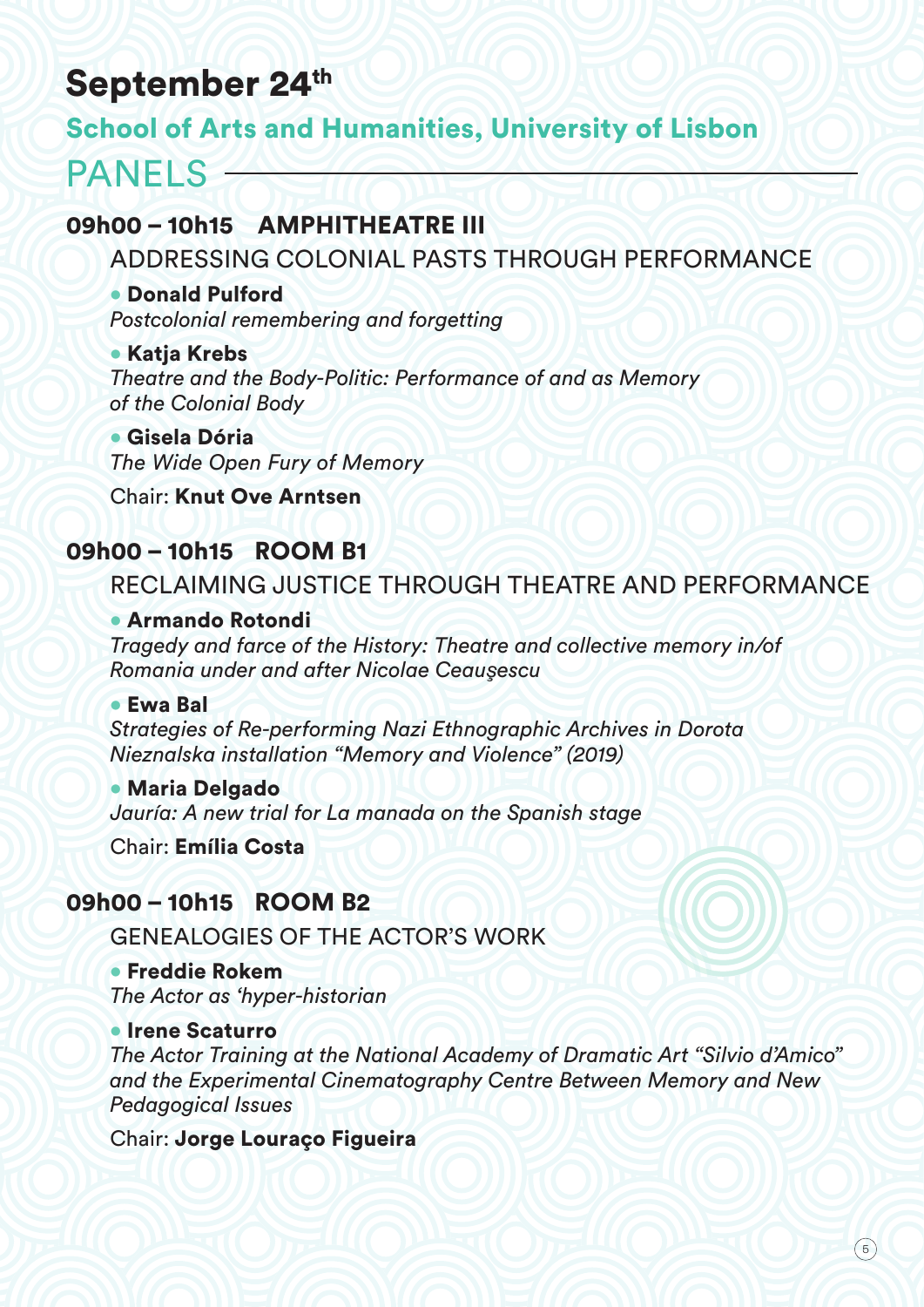# September 24th

# School of Arts and Humanities, University of Lisbon

# PANELS  $-$

# 09h00 – 10h15 AMPHITHEATRE III

ADDRESSING COLONIAL PASTS THROUGH PERFORMANCE

#### • Donald Pulford

*Postcolonial remembering and forgetting*

#### • Katja Krebs *Theatre and the Body-Politic: Performance of and as Memory of the Colonial Body*

• Gisela Dória *The Wide Open Fury of Memory*

Chair: Knut Ove Arntsen

# 09h00 – 10h15 ROOM B1

# RECLAIMING JUSTICE THROUGH THEATRE AND PERFORMANCE

#### • Armando Rotondi

*Tragedy and farce of the History: Theatre and collective memory in/of Romania under and after Nicolae Ceauşescu*

#### • Ewa Bal

*Strategies of Re-performing Nazi Ethnographic Archives in Dorota Nieznalska installation "Memory and Violence" (2019)*

• Maria Delgado *Jauría: A new trial for La manada on the Spanish stage*

Chair: Emília Costa

# 09h00 – 10h15 ROOM B2

GENEALOGIES OF THE ACTOR'S WORK

• Freddie Rokem *The Actor as 'hyper-historian*

#### • Irene Scaturro

*The Actor Training at the National Academy of Dramatic Art "Silvio d'Amico" and the Experimental Cinematography Centre Between Memory and New Pedagogical Issues*

Chair: Jorge Louraço Figueira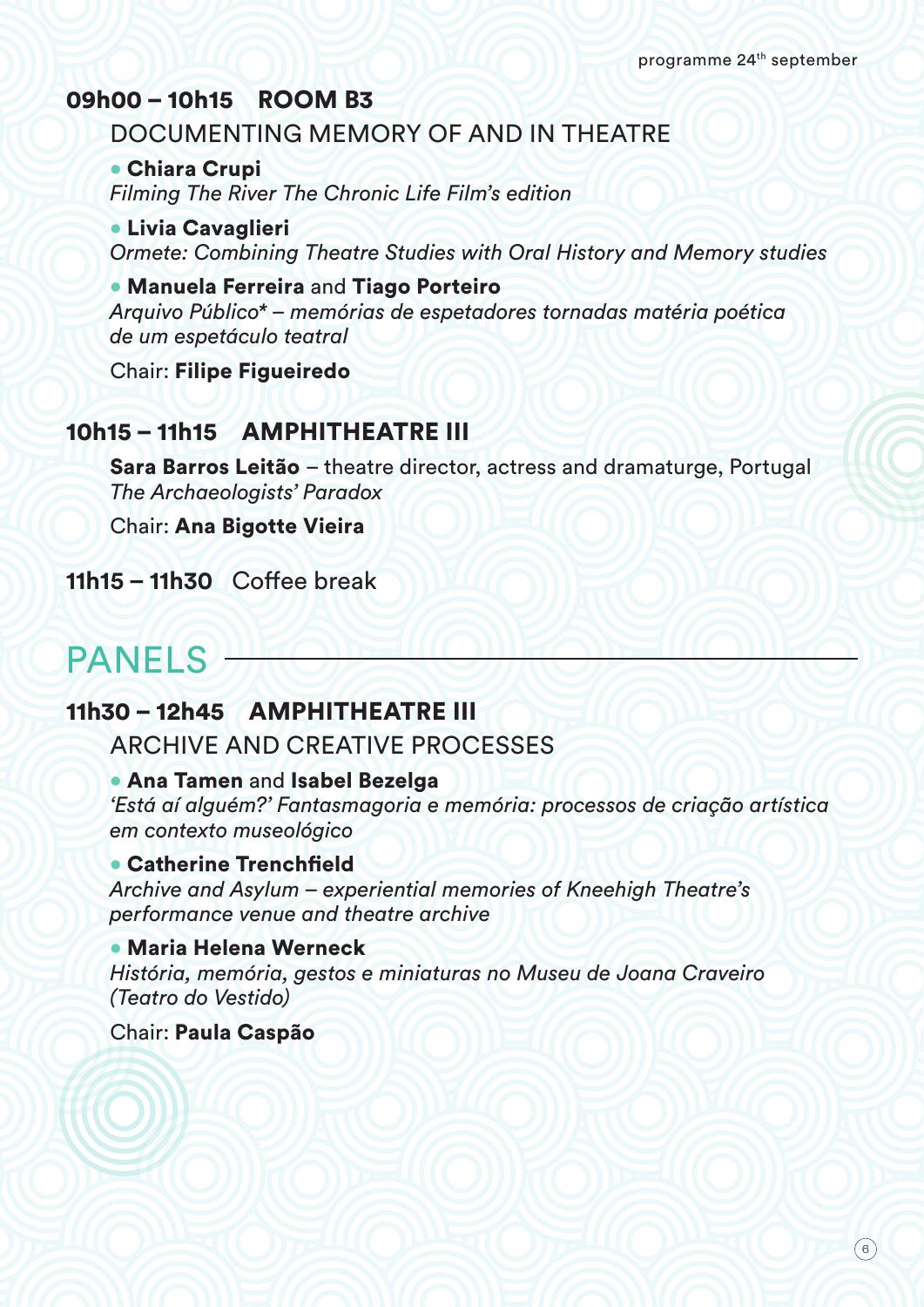# 09h00 – 10h15 ROOM B3

### DOCUMENTING MEMORY OF AND IN THEATRE

• Chiara Crupi *Filming The River The Chronic Life Film's edition*

• Livia Cavaglieri *Ormete: Combining Theatre Studies with Oral History and Memory studies*

• Manuela Ferreira and Tiago Porteiro *Arquivo Público\* – memórias de espetadores tornadas matéria poética de um espetáculo teatral*

Chair: Filipe Figueiredo

### 10h15 – 11h15 AMPHITHEATRE III

Sara Barros Leitão – theatre director, actress and dramaturge, Portugal *The Archaeologists' Paradox*

Chair: Ana Bigotte Vieira

**11h15 – 11h30** Coffee break

# PANELS-

# 11h30 – 12h45 AMPHITHEATRE III

ARCHIVE AND CREATIVE PROCESSES

#### • Ana Tamen and Isabel Bezelga

*'Está aí alguém?' Fantasmagoria e memória: processos de criação artística em contexto museológico*

#### • Catherine Trenchfield

*Archive and Asylum – experiential memories of Kneehigh Theatre's performance venue and theatre archive*

#### • Maria Helena Werneck

*História, memória, gestos e miniaturas no Museu de Joana Craveiro (Teatro do Vestido)*

Chair: Paula Caspão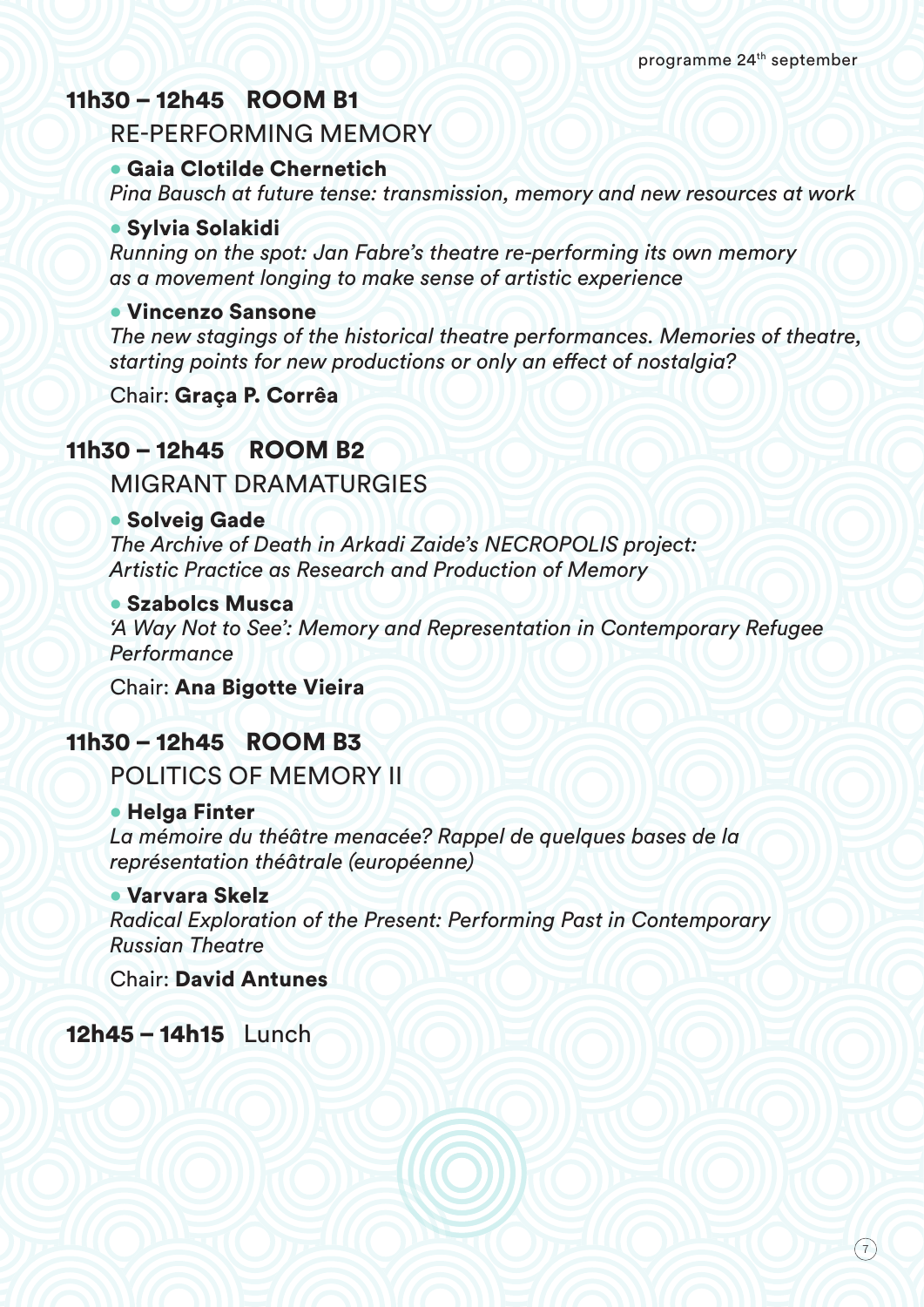### 11h30 – 12h45 ROOM B1

#### RE-PERFORMING MEMORY

#### • Gaia Clotilde Chernetich

*Pina Bausch at future tense: transmission, memory and new resources at work*

#### • Sylvia Solakidi

*Running on the spot: Jan Fabre's theatre re-performing its own memory as a movement longing to make sense of artistic experience*

#### • Vincenzo Sansone

*The new stagings of the historical theatre performances. Memories of theatre, starting points for new productions or only an effect of nostalgia?*

Chair: Graça P. Corrêa

### 11h30 – 12h45 ROOM B2

MIGRANT DRAMATURGIES

#### • Solveig Gade

*The Archive of Death in Arkadi Zaide's NECROPOLIS project: Artistic Practice as Research and Production of Memory*

#### • Szabolcs Musca

*'A Way Not to See': Memory and Representation in Contemporary Refugee Performance*

Chair: Ana Bigotte Vieira

### 11h30 – 12h45 ROOM B3

POLITICS OF MEMORY II

#### • Helga Finter

*La mémoire du théâtre menacée? Rappel de quelques bases de la représentation théâtrale (européenne)*

#### • Varvara Skelz

*Radical Exploration of the Present: Performing Past in Contemporary Russian Theatre*

Chair: David Antunes

12h45 – 14h15 Lunch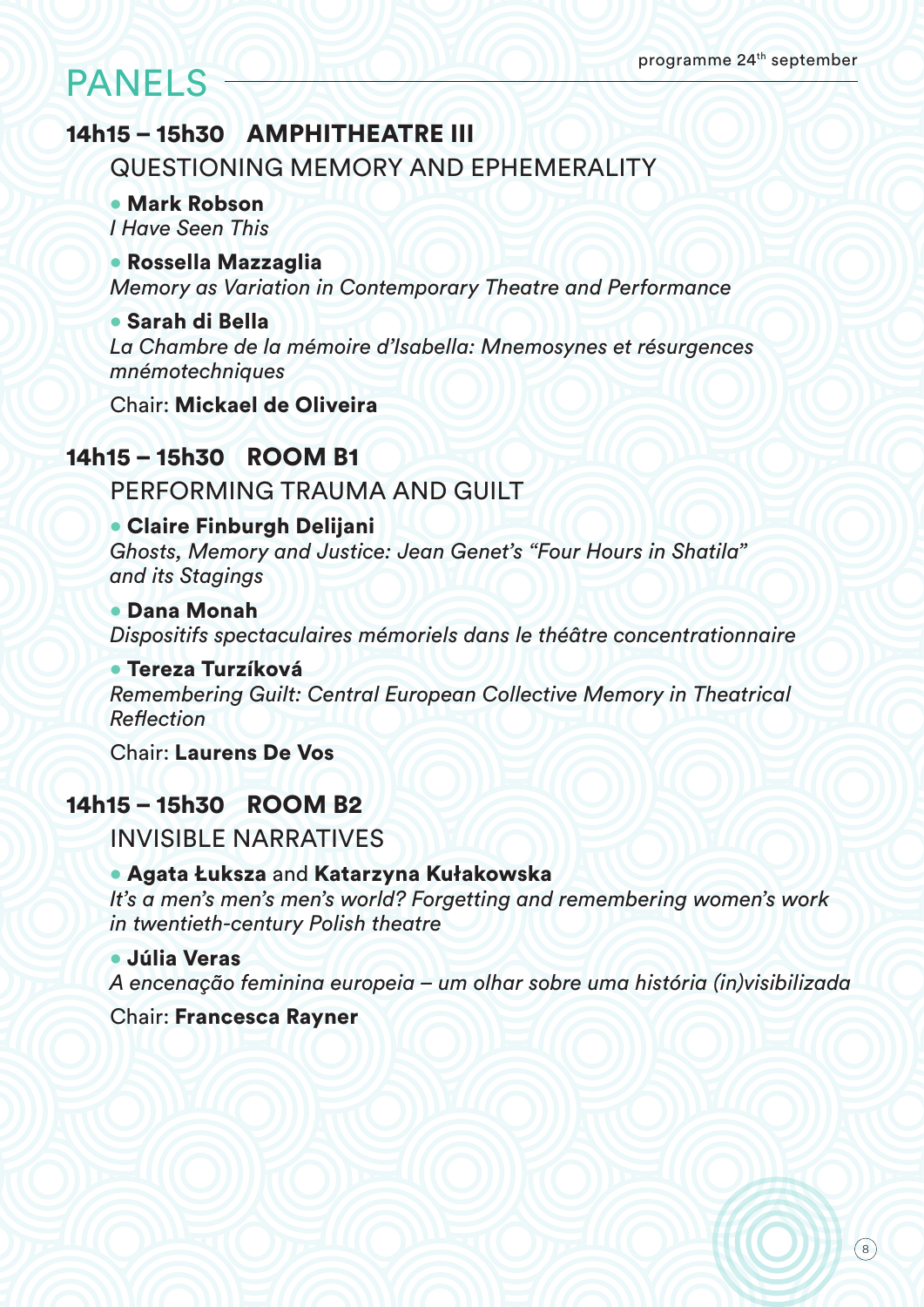# PANELS

# 14h15 – 15h30 AMPHITHEATRE III

QUESTIONING MEMORY AND EPHEMERALITY

• Mark Robson *I Have Seen This*

• Rossella Mazzaglia *Memory as Variation in Contemporary Theatre and Performance*

• Sarah di Bella *La Chambre de la mémoire d'Isabella: Mnemosynes et résurgences mnémotechniques*

Chair: Mickael de Oliveira

# 14h15 – 15h30 ROOM B1

PERFORMING TRAUMA AND GUILT

• Claire Finburgh Delijani *Ghosts, Memory and Justice: Jean Genet's "Four Hours in Shatila" and its Stagings*

• Dana Monah *Dispositifs spectaculaires mémoriels dans le théâtre concentrationnaire*

• Tereza Turzíková *Remembering Guilt: Central European Collective Memory in Theatrical Reflection*

Chair: Laurens De Vos

# 14h15 – 15h30 ROOM B2

INVISIBLE NARRATIVES

#### • Agata Łuksza and Katarzyna Kułakowska

*It's a men's men's men's world? Forgetting and remembering women's work in twentieth-century Polish theatre* 

• Júlia Veras *A encenação feminina europeia – um olhar sobre uma história (in)visibilizada*

Chair: Francesca Rayner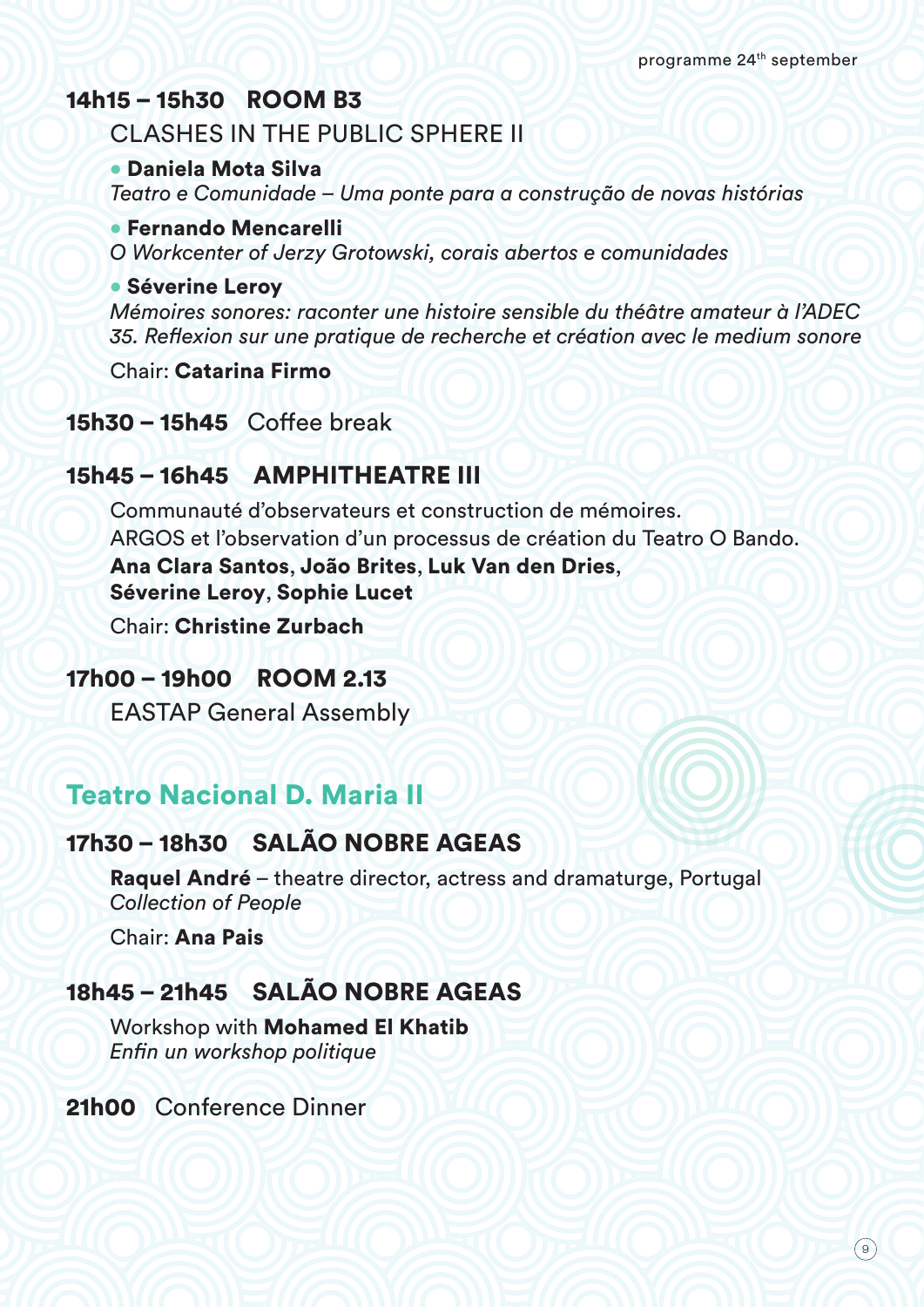### 14h15 – 15h30 ROOM B3

### CLASHES IN THE PUBLIC SPHERE II

#### • Daniela Mota Silva

*Teatro e Comunidade – Uma ponte para a construção de novas histórias*

#### • Fernando Mencarelli

*O Workcenter of Jerzy Grotowski, corais abertos e comunidades*

#### • Séverine Leroy

*Mémoires sonores: raconter une histoire sensible du théâtre amateur à l'ADEC 35. Reflexion sur une pratique de recherche et création avec le medium sonore*

Chair: Catarina Firmo

### 15h30 – 15h45 Coffee break

# 15h45 – 16h45 AMPHITHEATRE III

Communauté d'observateurs et construction de mémoires. ARGOS et l'observation d'un processus de création du Teatro O Bando. Ana Clara Santos, João Brites, Luk Van den Dries, Séverine Leroy, Sophie Lucet

Chair: Christine Zurbach

### 17h00 – 19h00ROOM 2.13

EASTAP General Assembly

# Teatro Nacional D. Maria II

# 17h30 – 18h30SALÃO NOBRE AGEAS

Raquel André – theatre director, actress and dramaturge, Portugal *Collection of People*

Chair: Ana Pais

# 18h45 – 21h45SALÃO NOBRE AGEAS

Workshop with Mohamed El Khatib *Enfin un workshop politique*

21h00 Conference Dinner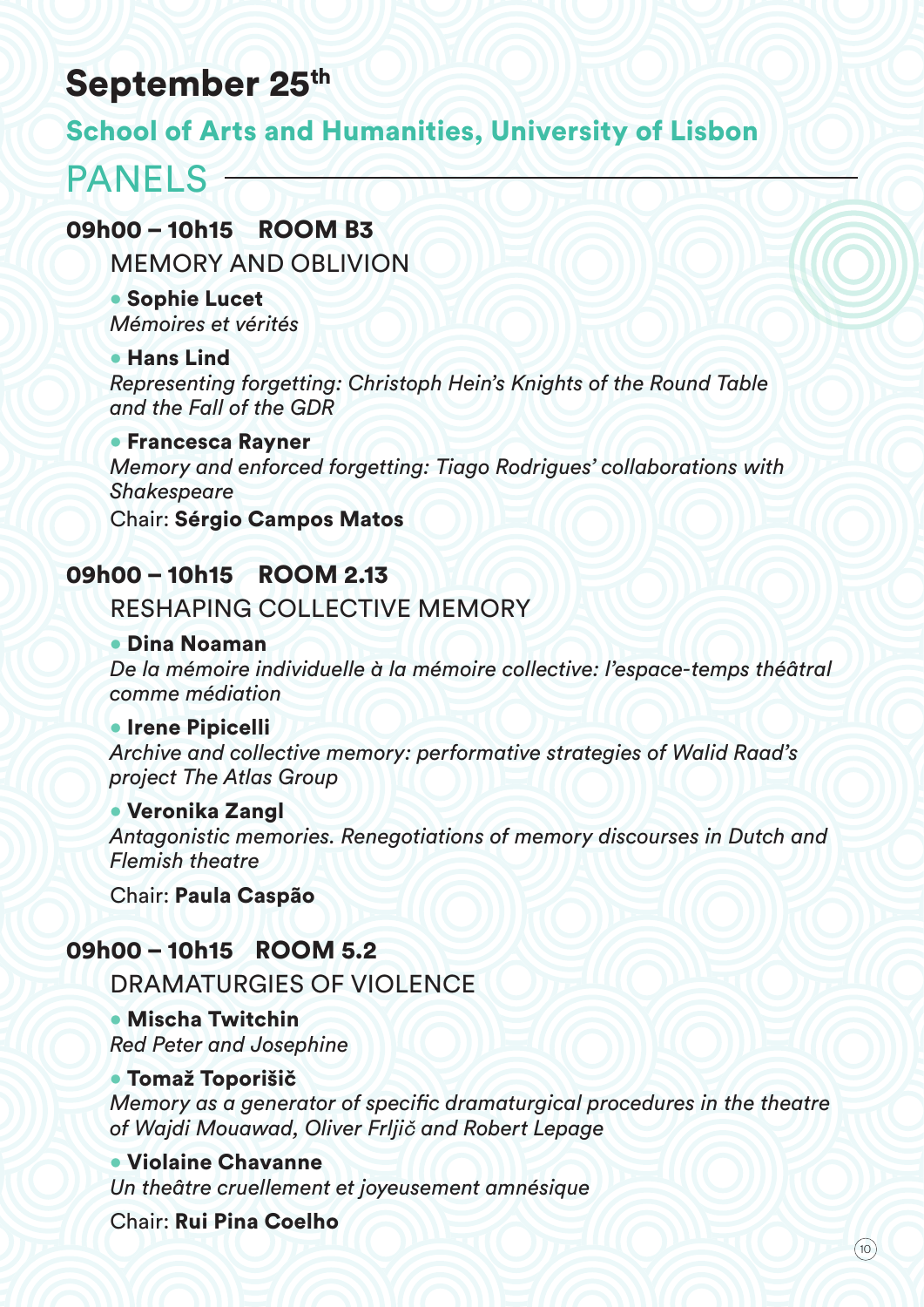# September 25th

# School of Arts and Humanities, University of Lisbon

# PANELS -

### 09h00 – 10h15ROOM B3

MEMORY AND OBLIVION

• Sophie Lucet *Mémoires et vérités*

#### • Hans Lind

*Representing forgetting: Christoph Hein's Knights of the Round Table and the Fall of the GDR*

#### • Francesca Rayner

*Memory and enforced forgetting: Tiago Rodrigues' collaborations with Shakespeare*

Chair: Sérgio Campos Matos

# 09h00 – 10h15ROOM 2.13

# RESHAPING COLLECTIVE MEMORY

#### • Dina Noaman

*De la mémoire individuelle à la mémoire collective: l'espace-temps théâtral comme médiation*

#### • Irene Pipicelli

*Archive and collective memory: performative strategies of Walid Raad's project The Atlas Group*

#### • Veronika Zangl

*Antagonistic memories. Renegotiations of memory discourses in Dutch and Flemish theatre*

Chair: Paula Caspão

# 09h00 – 10h15 ROOM 5.2

### DRAMATURGIES OF VIOLENCE

• Mischa Twitchin *Red Peter and Josephine* 

#### • Tomaž Toporišič

*Memory as a generator of specific dramaturgical procedures in the theatre of Wajdi Mouawad, Oliver Frljič and Robert Lepage*

#### • Violaine Chavanne

*Un theâtre cruellement et joyeusement amnésique*

Chair: Rui Pina Coelho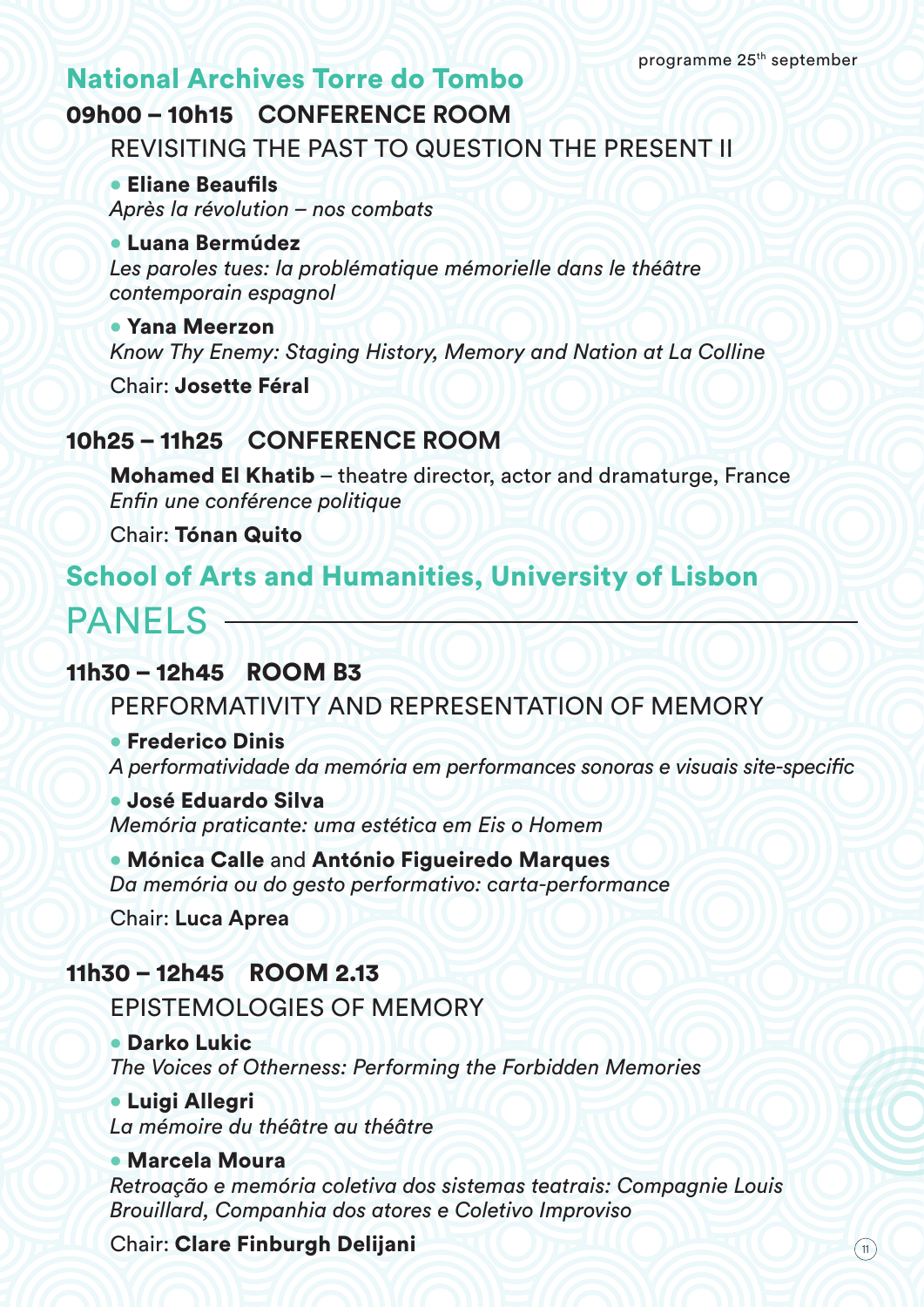# National Archives Torre do Tombo

# 09h00 – 10h15 **CONFERENCE ROOM**

REVISITING THE PAST TO QUESTION THE PRESENT II

• Eliane Beaufils *Après la révolution – nos combats*

#### • Luana Bermúdez

Les paroles tues: la problématique mémorielle dans le théâtre *contemporain espagnol*

• Yana Meerzon

*Know Thy Enemy: Staging History, Memory and Nation at La Colline*

Chair: Josette Féral

### 10h25 – 11h25 **CONFERENCE ROOM**

Mohamed El Khatib – theatre director, actor and dramaturge, France *Enfin une conférence politique*

Chair: Tónan Quito

# School of Arts and Humanities, University of Lisbon

# $PANF$   $S$   $\rightarrow$

### 11h30 – 12h45 ROOM B3

PERFORMATIVITY AND REPRESENTATION OF MEMORY

#### • Frederico Dinis

*A performatividade da memória em performances sonoras e visuais site-specific* 

#### • José Eduardo Silva

*Memória praticante: uma estética em Eis o Homem*

• Mónica Calle and António Figueiredo Marques *Da memória ou do gesto performativo: carta-performance*

Chair: **Luca Aprea**

### 11h30 – 12h45ROOM 2.13

EPISTEMOLOGIES OF MEMORY

#### • Darko Lukic

*The Voices of Otherness: Performing the Forbidden Memories*

• Luigi Allegri

*La mémoire du théâtre au théâtre*

#### • Marcela Moura

*Retroação e memória coletiva dos sistemas teatrais: Compagnie Louis Brouillard, Companhia dos atores e Coletivo Improviso*

Chair: Clare Finburgh Delijani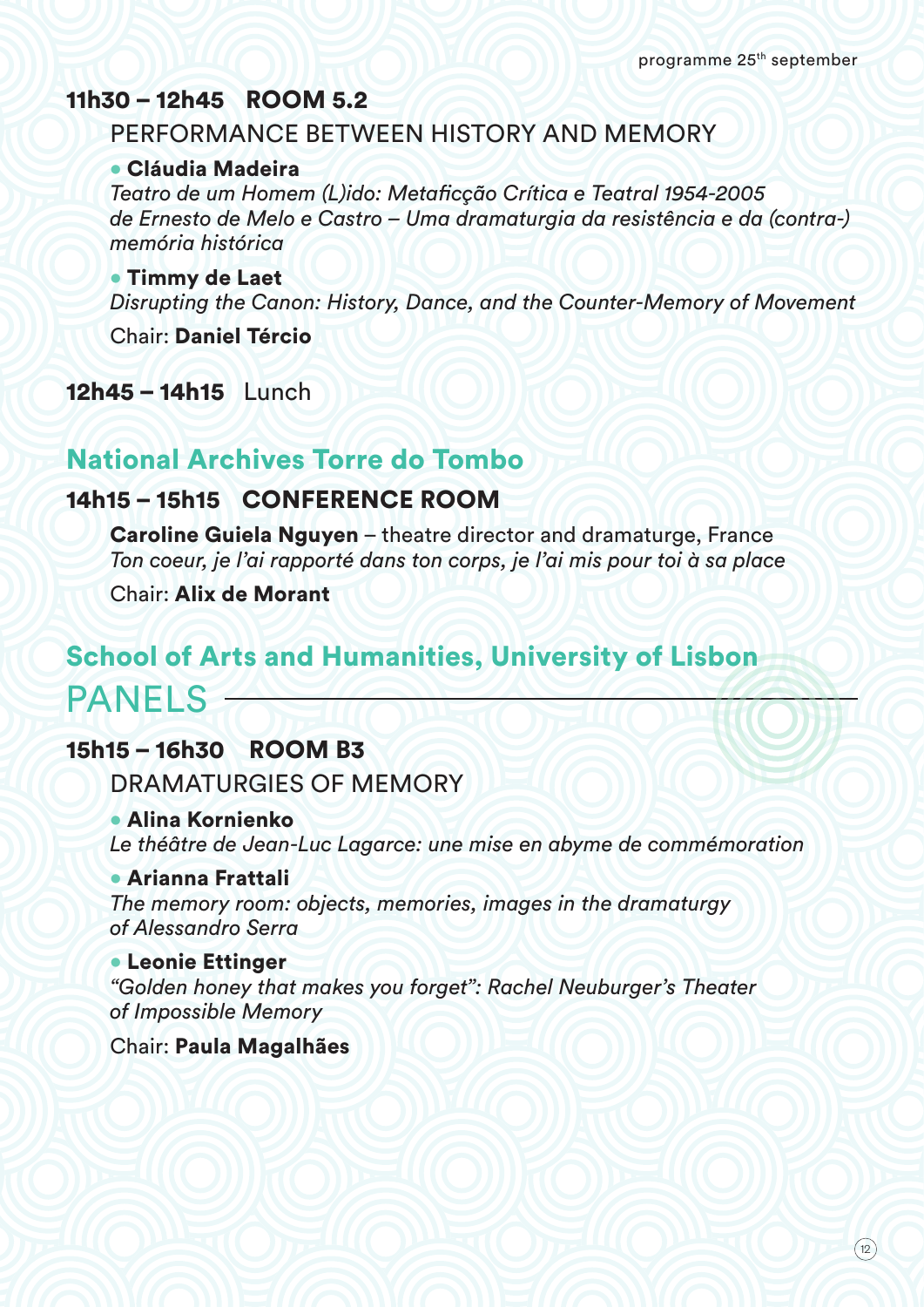### 11h30 – 12h45 ROOM 5.2

### PERFORMANCE BETWEEN HISTORY AND MEMORY

#### • Cláudia Madeira

*Teatro de um Homem (L)ido: Metaficção Crítica e Teatral 1954-2005 de Ernesto de Melo e Castro – Uma dramaturgia da resistência e da (contra-) memória histórica*

#### • Timmy de Laet

*Disrupting the Canon: History, Dance, and the Counter-Memory of Movement*

Chair: Daniel Tércio

12h45 – 14h15 Lunch

# National Archives Torre do Tombo

# 14h15 – 15h15 CONFERENCE ROOM

Caroline Guiela Nguyen – theatre director and dramaturge, France *Ton coeur, je l'ai rapporté dans ton corps, je l'ai mis pour toi à sa place*

Chair: Alix de Morant

# PANELS -School of Arts and Humanities, University of Lisbon

# 15h15 – 16h30ROOM B3

DRAMATURGIES OF MEMORY

#### • Alina Kornienko

*Le théâtre de Jean-Luc Lagarce: une mise en abyme de commémoration*

#### • Arianna Frattali

*The memory room: objects, memories, images in the dramaturgy of Alessandro Serra*

#### • Leonie Ettinger

*"Golden honey that makes you forget": Rachel Neuburger's Theater of Impossible Memory*

#### Chair: Paula Magalhães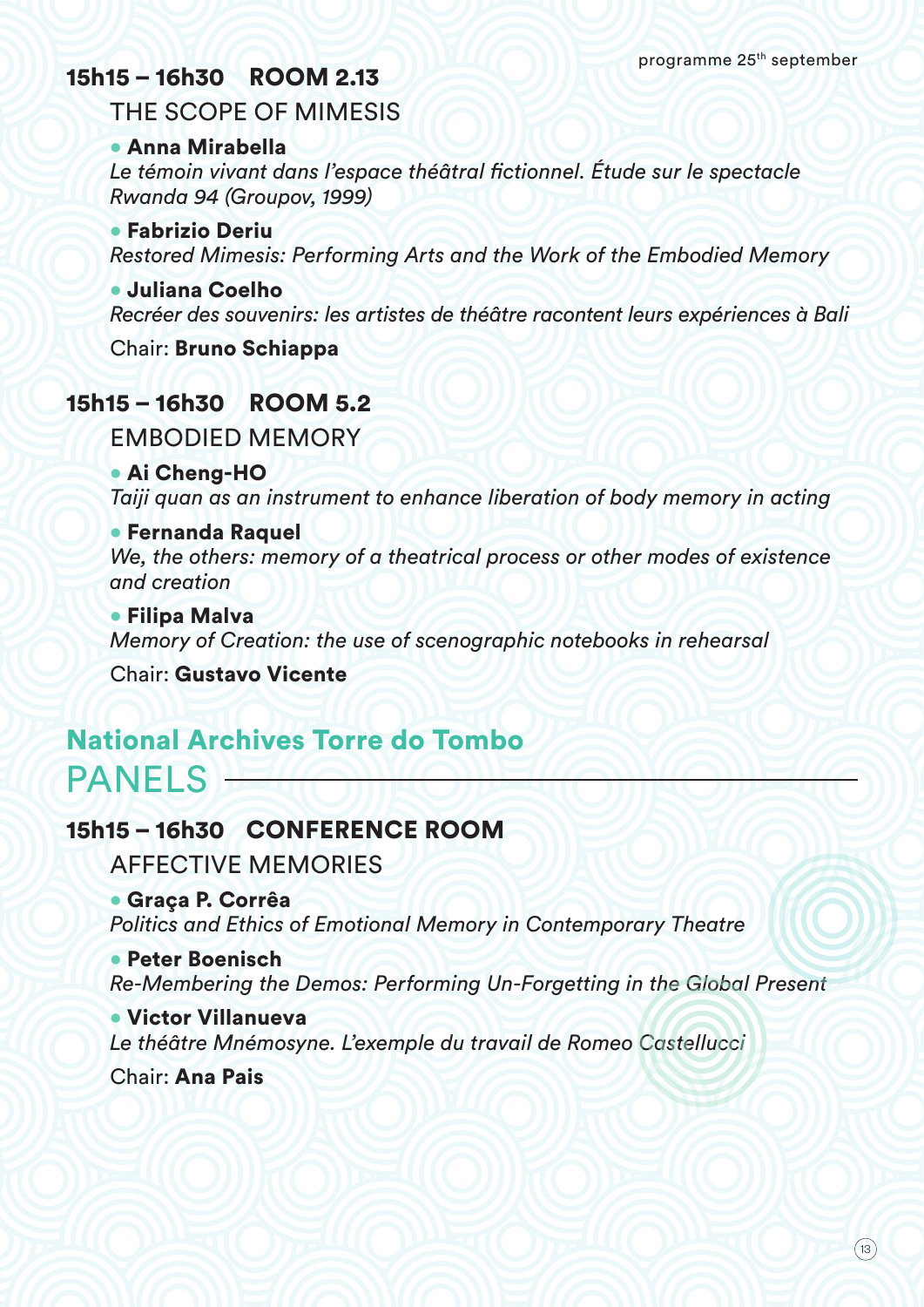# 15h15 – 16h30ROOM 2.13

THE SCOPE OF MIMESIS

#### • Anna Mirabella

Le témoin vivant dans l'espace théâtral fictionnel. Étude sur le spectacle *Rwanda 94 (Groupov, 1999)*

• Fabrizio Deriu *Restored Mimesis: Performing Arts and the Work of the Embodied Memory*

#### • Juliana Coelho

*Recréer des souvenirs: les artistes de théâtre racontent leurs expériences à Bali*

Chair: Bruno Schiappa

# 15h15 – 16h30ROOM 5.2

EMBODIED MEMORY

• Ai Cheng-HO

*Taiji quan as an instrument to enhance liberation of body memory in acting*

#### • Fernanda Raquel

*We, the others: memory of a theatrical process or other modes of existence and creation*

• Filipa Malva *Memory of Creation: the use of scenographic notebooks in rehearsal*

Chair: Gustavo Vicente

# PANELS National Archives Torre do Tombo

# 15h15 – 16h30 CONFERENCE ROOM

AFFECTIVE MEMORIES

• Graça P. Corrêa *Politics and Ethics of Emotional Memory in Contemporary Theatre*

• Peter Boenisch *Re-Membering the Demos: Performing Un-Forgetting in the Global Present*

• Victor Villanueva *Le théâtre Mnémosyne. L'exemple du travail de Romeo Castellucci*

Chair: Ana Pais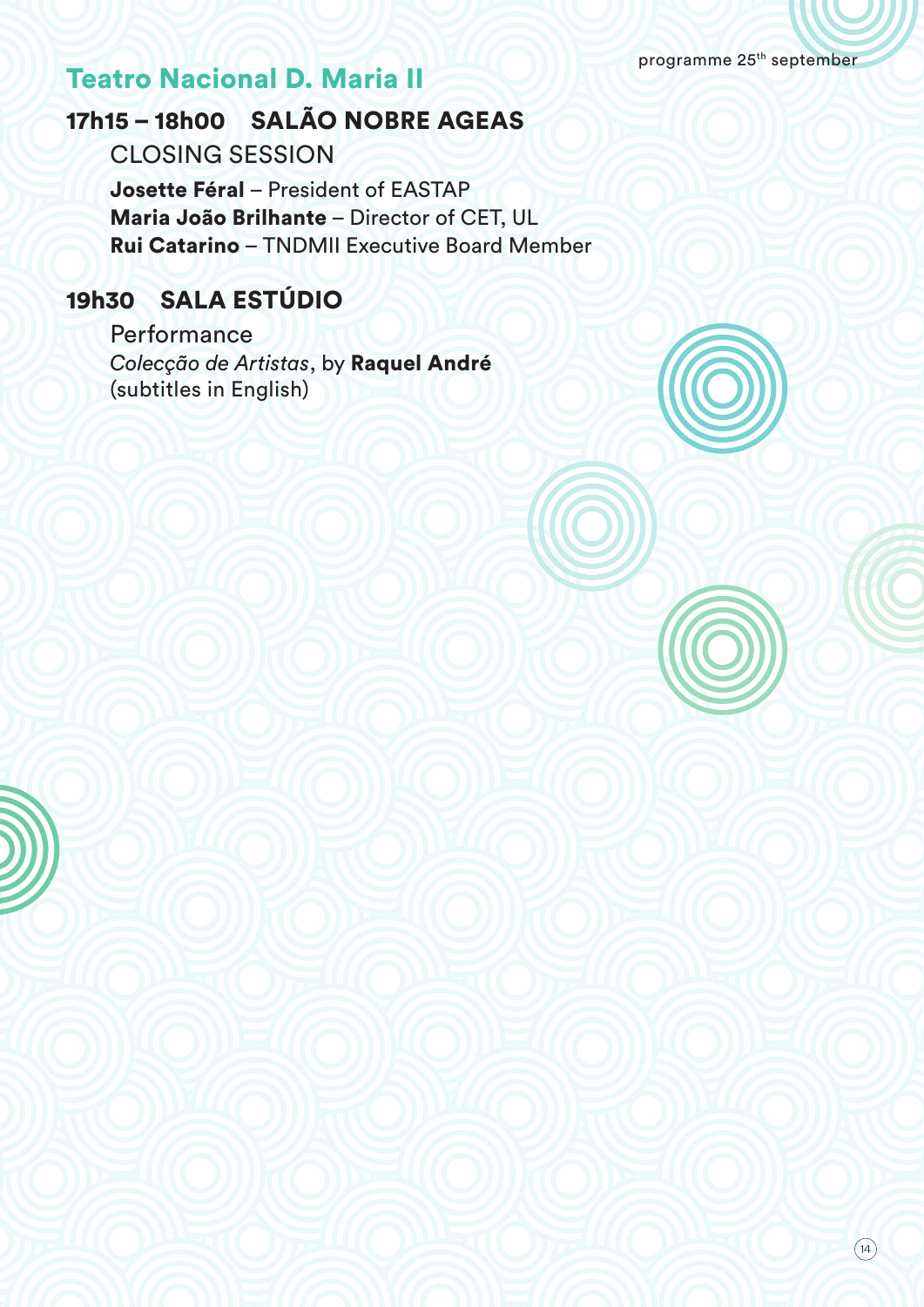programme 25th september

# Teatro Nacional D. Maria II

# 17h15 – 18h00 SALÃO NOBRE AGEAS

CLOSING SESSION

Josette Féral – President of EASTAP Maria João Brilhante – Director of CET, UL Rui Catarino – TNDMII Executive Board Member

# 19h30 SALA ESTÚDIO

**Performance** *Colecção de Artistas*, by Raquel André (subtitles in English)